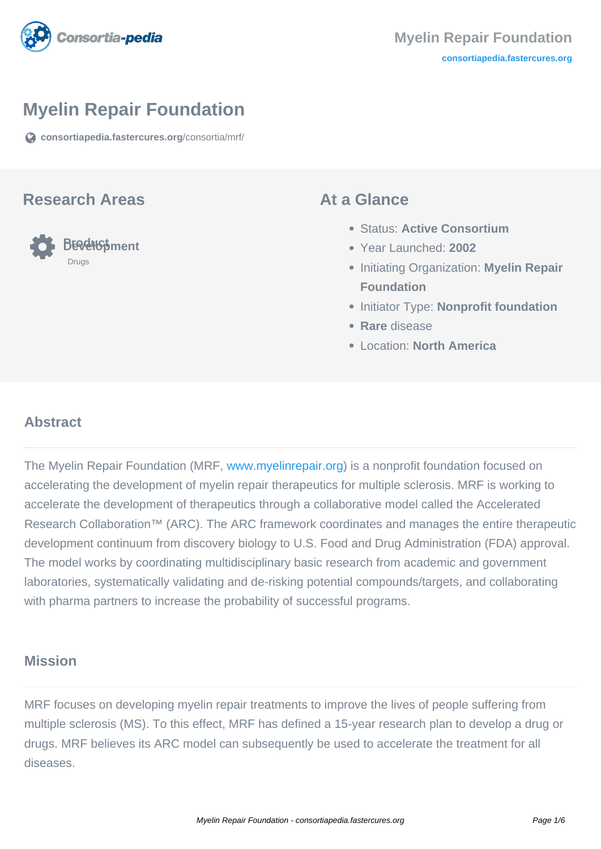

# **Myelin Repair Foundation**

**[consortiapedia.fastercures.org](https://consortiapedia.fastercures.org/consortia/mrf/)**[/consortia/mrf/](https://consortiapedia.fastercures.org/consortia/mrf/)

#### **Research Areas**



#### **At a Glance**

- Status: **Active Consortium**
- Year Launched: **2002**
- **Initiating Organization: Myelin Repair Foundation**
- **Initiator Type: Nonprofit foundation**
- **Rare** disease
- Location: **North America**

## **Abstract**

The Myelin Repair Foundation (MRF, [www.myelinrepair.org](http://www.myelinrepair.org/)) is a nonprofit foundation focused on accelerating the development of myelin repair therapeutics for multiple sclerosis. MRF is working to accelerate the development of therapeutics through a collaborative model called the Accelerated Research Collaboration™ (ARC). The ARC framework coordinates and manages the entire therapeutic development continuum from discovery biology to U.S. Food and Drug Administration (FDA) approval. The model works by coordinating multidisciplinary basic research from academic and government laboratories, systematically validating and de-risking potential compounds/targets, and collaborating with pharma partners to increase the probability of successful programs.

#### **Mission**

MRF focuses on developing myelin repair treatments to improve the lives of people suffering from multiple sclerosis (MS). To this effect, MRF has defined a 15-year research plan to develop a drug or drugs. MRF believes its ARC model can subsequently be used to accelerate the treatment for all diseases.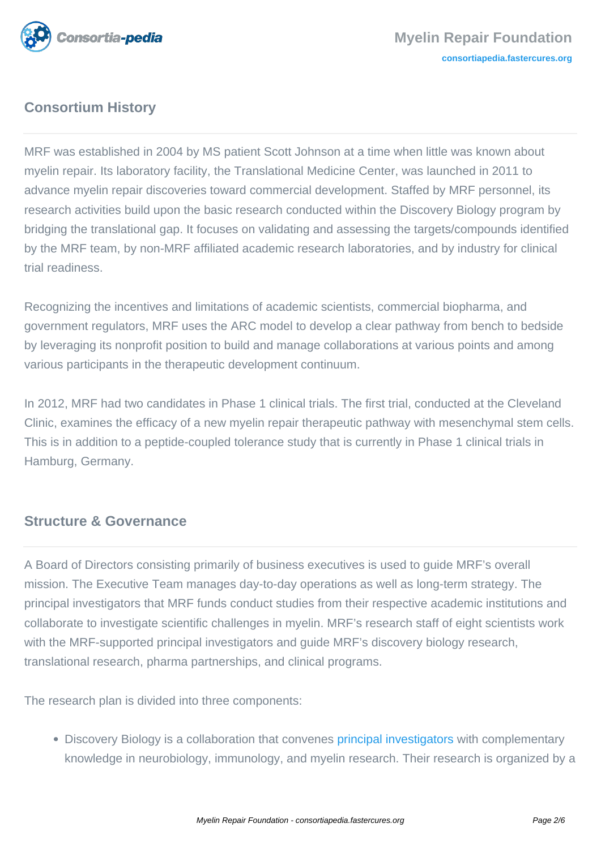

# **Consortium History**

MRF was established in 2004 by MS patient Scott Johnson at a time when little was known about myelin repair. Its laboratory facility, the Translational Medicine Center, was launched in 2011 to advance myelin repair discoveries toward commercial development. Staffed by MRF personnel, its research activities build upon the basic research conducted within the Discovery Biology program by bridging the translational gap. It focuses on validating and assessing the targets/compounds identified by the MRF team, by non-MRF affiliated academic research laboratories, and by industry for clinical trial readiness.

Recognizing the incentives and limitations of academic scientists, commercial biopharma, and government regulators, MRF uses the ARC model to develop a clear pathway from bench to bedside by leveraging its nonprofit position to build and manage collaborations at various points and among various participants in the therapeutic development continuum.

In 2012, MRF had two candidates in Phase 1 clinical trials. The first trial, conducted at the Cleveland Clinic, examines the efficacy of a new myelin repair therapeutic pathway with mesenchymal stem cells. This is in addition to a peptide-coupled tolerance study that is currently in Phase 1 clinical trials in Hamburg, Germany.

### **Structure & Governance**

A Board of Directors consisting primarily of business executives is used to guide MRF's overall mission. The Executive Team manages day-to-day operations as well as long-term strategy. The principal investigators that MRF funds conduct studies from their respective academic institutions and collaborate to investigate scientific challenges in myelin. MRF's research staff of eight scientists work with the MRF-supported principal investigators and guide MRF's discovery biology research, translational research, pharma partnerships, and clinical programs.

The research plan is divided into three components:

• Discovery Biology is a collaboration that convenes [principal investigators](http://www.myelinrepair.org/about/principal_investigators.shtml) with complementary knowledge in neurobiology, immunology, and myelin research. Their research is organized by a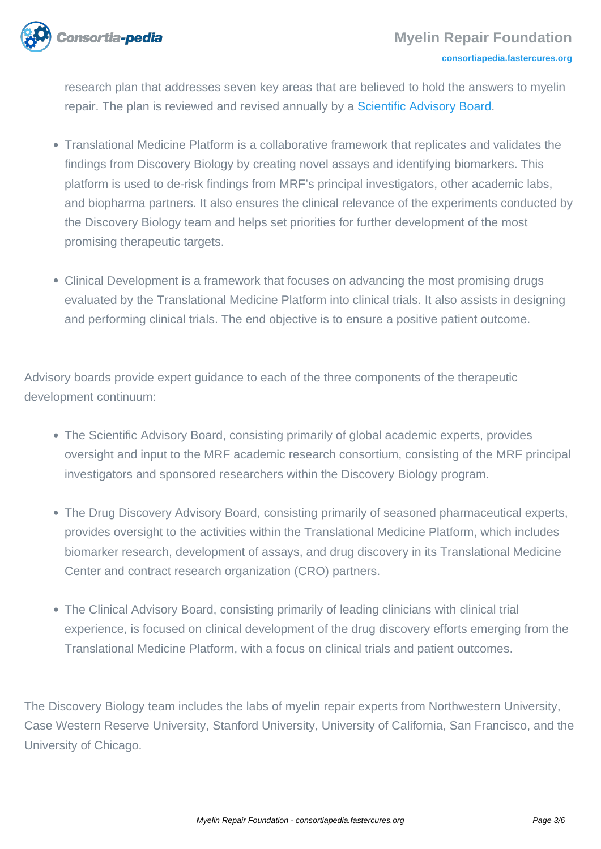

research plan that addresses seven key areas that are believed to hold the answers to myelin repair. The plan is reviewed and revised annually by a [Scientific Advisory Board.](http://www.myelinrepair.org/about/board_and_advisors.shtml#sab)

- Translational Medicine Platform is a collaborative framework that replicates and validates the findings from Discovery Biology by creating novel assays and identifying biomarkers. This platform is used to de-risk findings from MRF's principal investigators, other academic labs, and biopharma partners. It also ensures the clinical relevance of the experiments conducted by the Discovery Biology team and helps set priorities for further development of the most promising therapeutic targets.
- Clinical Development is a framework that focuses on advancing the most promising drugs evaluated by the Translational Medicine Platform into clinical trials. It also assists in designing and performing clinical trials. The end objective is to ensure a positive patient outcome.

Advisory boards provide expert guidance to each of the three components of the therapeutic development continuum:

- The Scientific Advisory Board, consisting primarily of global academic experts, provides oversight and input to the MRF academic research consortium, consisting of the MRF principal investigators and sponsored researchers within the Discovery Biology program.
- The Drug Discovery Advisory Board, consisting primarily of seasoned pharmaceutical experts, provides oversight to the activities within the Translational Medicine Platform, which includes biomarker research, development of assays, and drug discovery in its Translational Medicine Center and contract research organization (CRO) partners.
- The Clinical Advisory Board, consisting primarily of leading clinicians with clinical trial experience, is focused on clinical development of the drug discovery efforts emerging from the Translational Medicine Platform, with a focus on clinical trials and patient outcomes.

The Discovery Biology team includes the labs of myelin repair experts from Northwestern University, Case Western Reserve University, Stanford University, University of California, San Francisco, and the University of Chicago.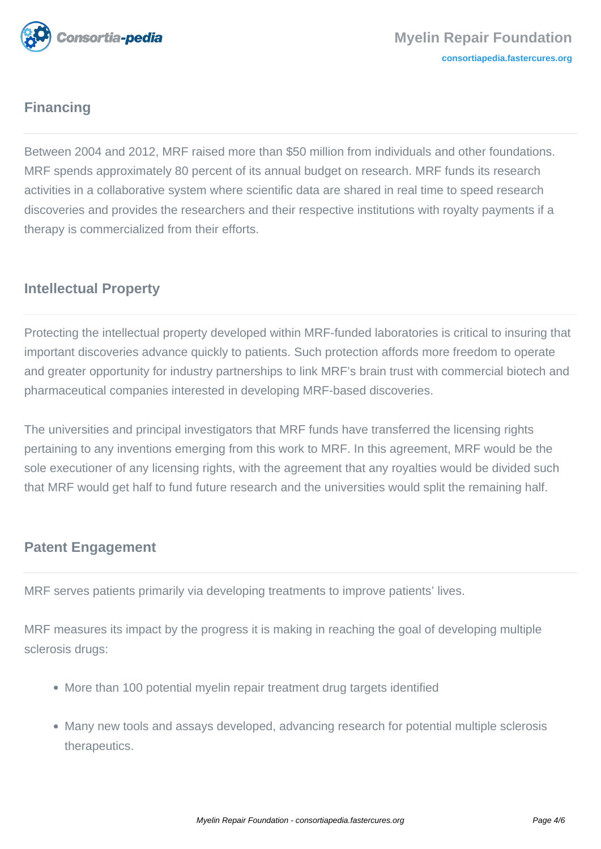

# **Financing**

Between 2004 and 2012, MRF raised more than \$50 million from individuals and other foundations. MRF spends approximately 80 percent of its annual budget on research. MRF funds its research activities in a collaborative system where scientific data are shared in real time to speed research discoveries and provides the researchers and their respective institutions with royalty payments if a therapy is commercialized from their efforts.

# **Intellectual Property**

Protecting the intellectual property developed within MRF-funded laboratories is critical to insuring that important discoveries advance quickly to patients. Such protection affords more freedom to operate and greater opportunity for industry partnerships to link MRF's brain trust with commercial biotech and pharmaceutical companies interested in developing MRF-based discoveries.

The universities and principal investigators that MRF funds have transferred the licensing rights pertaining to any inventions emerging from this work to MRF. In this agreement, MRF would be the sole executioner of any licensing rights, with the agreement that any royalties would be divided such that MRF would get half to fund future research and the universities would split the remaining half.

# **Patent Engagement**

MRF serves patients primarily via developing treatments to improve patients' lives.

MRF measures its impact by the progress it is making in reaching the goal of developing multiple sclerosis drugs:

- More than 100 potential myelin repair treatment drug targets identified
- Many new tools and assays developed, advancing research for potential multiple sclerosis therapeutics.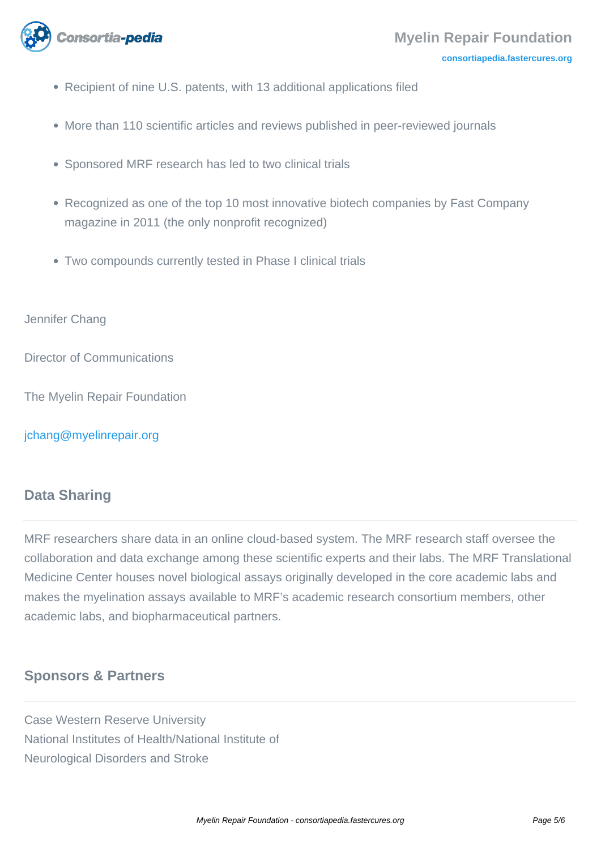

- Recipient of nine U.S. patents, with 13 additional applications filed
- More than 110 scientific articles and reviews published in peer-reviewed journals
- Sponsored MRF research has led to two clinical trials
- Recognized as one of the top 10 most innovative biotech companies by Fast Company magazine in 2011 (the only nonprofit recognized)
- Two compounds currently tested in Phase I clinical trials

#### Jennifer Chang

Director of Communications

The Myelin Repair Foundation

[jchang@myelinrepair.org](mailto:jchang@myelinrepair.org)

### **Data Sharing**

MRF researchers share data in an online cloud-based system. The MRF research staff oversee the collaboration and data exchange among these scientific experts and their labs. The MRF Translational Medicine Center houses novel biological assays originally developed in the core academic labs and makes the myelination assays available to MRF's academic research consortium members, other academic labs, and biopharmaceutical partners.

## **Sponsors & Partners**

Case Western Reserve University National Institutes of Health/National Institute of Neurological Disorders and Stroke